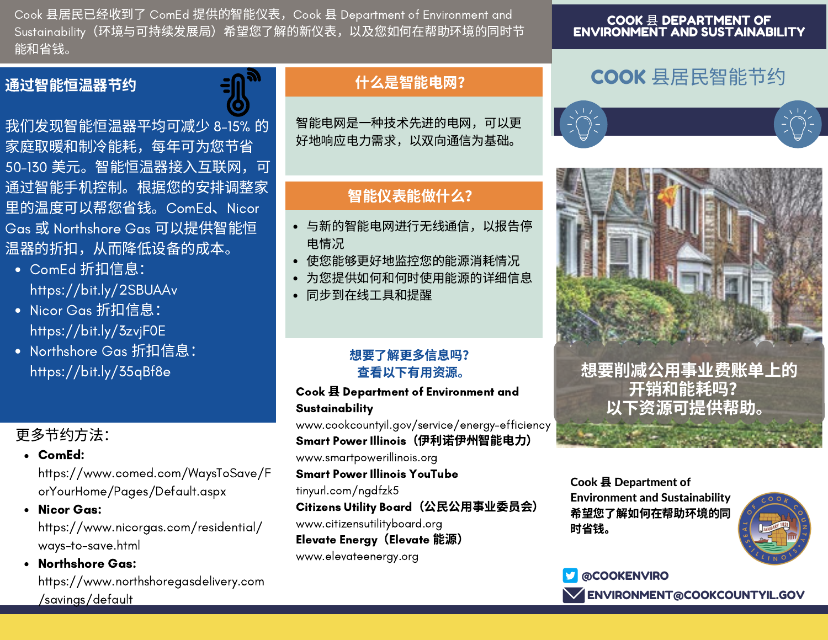Cook 县居民已经收到了 ComEd 提供的智能仪表, Cook 县 Department of Environment and Sustainability(环境与可持续发展局)希望您了解的新仪表,以及您如何在帮助环境的同时节 能和省钱。

### 通过智能恒温器节约

我们发现智能恒温器平均可减少 8-15% 的 家庭取暖和制冷能耗,每年可为您节省 50-130 美元。智能恒温器接入互联网,可 通过智能手机控制。根据您的安排调整家 ⾥的温度可以帮您省钱。ComEd、Nicor Gas 或 Northshore Gas 可以提供智能恒 温器的折扣,从而降低设备的成本。

- ComEd 折扣信息: https://bit.ly/2SBUAAv
- Nicor Gas 折扣信息: https://bit.ly/3zvjF0E
- Northshore Gas 折扣信息: https://bit.ly/35qBf8e

# 更多节约方法:

ComEd:

https://www.comed.com/WaysToSave/F orYourHome/Pages/Default.aspx

- Nicor Gas: https://www.nicorgas.com/residential/ ways-to-save.html
- Northshore Gas: https://www.northshoregasdelivery.com /savings/default

# 什么是智能电网?

智能电网是一种技术先进的电网, 可以更 好地响应电力需求, 以双向通信为基础。

## 智能仪表能做什么?

- 与新的智能电网进行无线通信, 以报告停 电情况
- 使您能够更好地监控您的能源消耗情况
- 为您提供如何和何时使用能源的详细信息
- 同步到在线工具和提醒

### 想要了解更多信息吗? 查看以下有用资源。

#### Cook 县 Department of Environment and **Sustainability**

www.cookcountyil.gov/service/energy-efficiency Smart Power Illinois (伊利诺伊州智能电力) www.smartpowerillinois.org Smart Power Illinois YouTube tinyurl.com/ngdfzk5

Citizens Utility Board (公民公用事业委员会)

www.citizensutilityboard.org

**Elevate Energy (Elevate 能源)** 

www.elevateenergy.org

# COOK 县居⺠智能节约





想要削减公用事业费账单上的 开销和能耗吗? 以下资源可提供帮助。

Cook 县 Department of Environment and Sustainability 希望您了解如何在帮助环境的同 时省钱。



**@COOKENVIRO ENVIRONMENT@COOKCOUNTYIL.GOV**